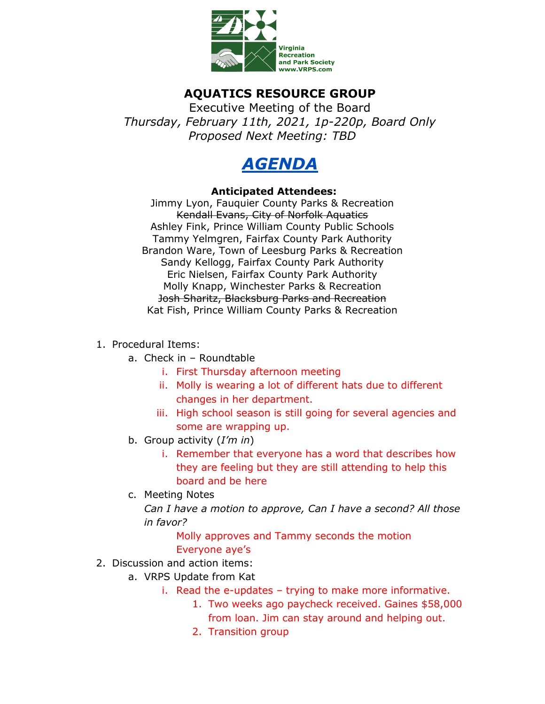

## **AQUATICS RESOURCE GROUP**

Executive Meeting of the Board *Thursday, February 11th, 2021, 1p-220p, Board Only Proposed Next Meeting: TBD*



## **Anticipated Attendees:**

Jimmy Lyon, Fauquier County Parks & Recreation Kendall Evans, City of Norfolk Aquatics Ashley Fink, Prince William County Public Schools Tammy Yelmgren, Fairfax County Park Authority Brandon Ware, Town of Leesburg Parks & Recreation Sandy Kellogg, Fairfax County Park Authority Eric Nielsen, Fairfax County Park Authority Molly Knapp, Winchester Parks & Recreation Josh Sharitz, Blacksburg Parks and Recreation Kat Fish, Prince William County Parks & Recreation

- 1. Procedural Items:
	- a. Check in Roundtable
		- i. First Thursday afternoon meeting
		- ii. Molly is wearing a lot of different hats due to different changes in her department.
		- iii. High school season is still going for several agencies and some are wrapping up.
	- b. Group activity (*I'm in*)
		- i. Remember that everyone has a word that describes how they are feeling but they are still attending to help this board and be here
	- c. Meeting Notes

*Can I have a motion to approve, Can I have a second? All those in favor?* 

> Molly approves and Tammy seconds the motion Everyone aye's

- 2. Discussion and action items:
	- a. VRPS Update from Kat
		- i. Read the e-updates trying to make more informative.
			- 1. Two weeks ago paycheck received. Gaines \$58,000 from loan. Jim can stay around and helping out.
			- 2. Transition group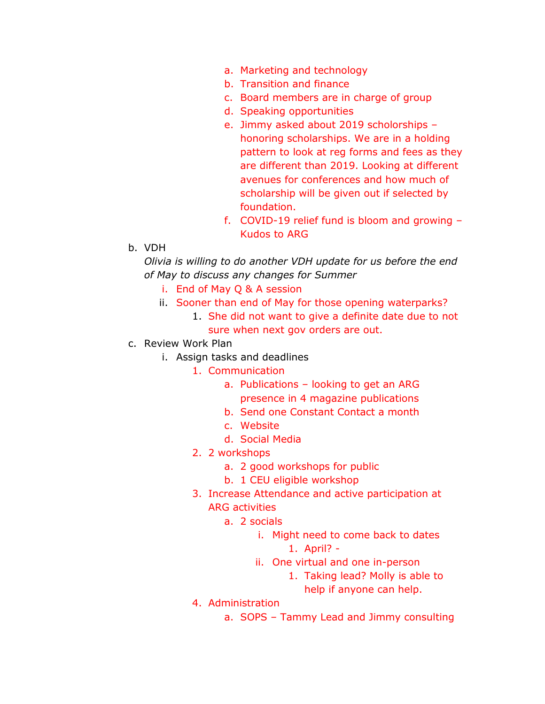- a. Marketing and technology
- b. Transition and finance
- c. Board members are in charge of group
- d. Speaking opportunities
- e. Jimmy asked about 2019 scholorships honoring scholarships. We are in a holding pattern to look at reg forms and fees as they are different than 2019. Looking at different avenues for conferences and how much of scholarship will be given out if selected by foundation.
- f. COVID-19 relief fund is bloom and growing Kudos to ARG
- b. VDH

*Olivia is willing to do another VDH update for us before the end of May to discuss any changes for Summer* 

- i. End of May Q & A session
- ii. Sooner than end of May for those opening waterparks?
	- 1. She did not want to give a definite date due to not sure when next gov orders are out.
- c. Review Work Plan
	- i. Assign tasks and deadlines
		- 1. Communication
			- a. Publications looking to get an ARG presence in 4 magazine publications
			- b. Send one Constant Contact a month
			- c. Website
			- d. Social Media
		- 2. 2 workshops
			- a. 2 good workshops for public
			- b. 1 CEU eligible workshop
		- 3. Increase Attendance and active participation at ARG activities
			- a. 2 socials
				- i. Might need to come back to dates 1. April? -
				- ii. One virtual and one in-person
					- 1. Taking lead? Molly is able to help if anyone can help.
		- 4. Administration
			- a. SOPS Tammy Lead and Jimmy consulting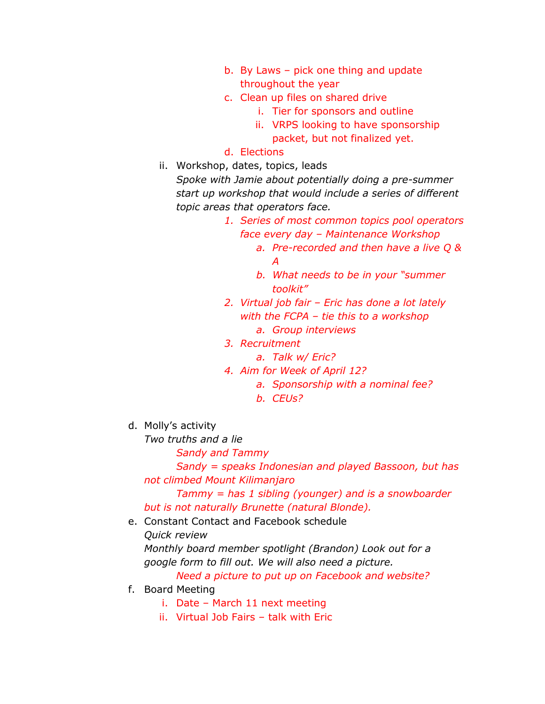- b. By Laws pick one thing and update throughout the year
- c. Clean up files on shared drive
	- i. Tier for sponsors and outline
	- ii. VRPS looking to have sponsorship packet, but not finalized yet.
- d. Elections
- ii. Workshop, dates, topics, leads

*Spoke with Jamie about potentially doing a pre-summer start up workshop that would include a series of different topic areas that operators face.* 

- *1. Series of most common topics pool operators face every day – Maintenance Workshop* 
	- *a. Pre-recorded and then have a live Q & A*
	- *b. What needs to be in your "summer toolkit"*
- *2. Virtual job fair – Eric has done a lot lately with the FCPA – tie this to a workshop a. Group interviews*
- *3. Recruitment*
	- *a. Talk w/ Eric?*
- *4. Aim for Week of April 12?* 
	- *a. Sponsorship with a nominal fee?*
	- *b. CEUs?*
- d. Molly's activity
	- *Two truths and a lie*
		- *Sandy and Tammy*

*Sandy = speaks Indonesian and played Bassoon, but has not climbed Mount Kilimanjaro* 

*Tammy = has 1 sibling (younger) and is a snowboarder but is not naturally Brunette (natural Blonde).* 

- e. Constant Contact and Facebook schedule
	- *Quick review*

*Monthly board member spotlight (Brandon) Look out for a google form to fill out. We will also need a picture. Need a picture to put up on Facebook and website?* 

- f. Board Meeting
	- i. Date March 11 next meeting
	- ii. Virtual Job Fairs talk with Eric